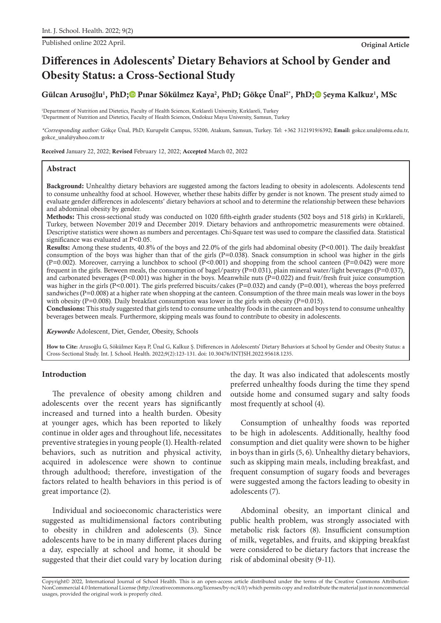Published online 2022 April. **Original Article**

# **Differences in Adolescents' Dietary Behaviors at School by Gender and Obesity Status: a Cross-Sectional Study**

Gülcan Arusoğlu<sup>1</sup>, PhD[;](https://orcid.org/0000-0002-9657-2358)© Pınar Sökülmez Kaya<sup>2</sup>, PhD; Gökçe Ünal<sup>2\*</sup>, PhD;© Şeyma Kalkuz<sup>1</sup>, MSc

1 Department of Nutrition and Dietetics, Faculty of Health Sciences, Kırklareli University, Kırklareli, Turkey 2 Department of Nutrition and Dietetics, Faculty of Health Sciences, Ondokuz Mayıs University, Samsun, Turkey

\*Corresponding author: Gökçe Ünal, PhD; Kurupelit Campus, 55200, Atakum, Samsun, Turkey. Tel: +362 3121919/6392; **Email:** gokce.unal@omu.edu.tr, gokce\_unal@yahoo.com.tr

Received January 22, 2022; Revised February 12, 2022; Accepted March 02, 2022

## **Abstract**

Background: Unhealthy dietary behaviors are suggested among the factors leading to obesity in adolescents. Adolescents tend to consume unhealthy food at school. However, whether these habits differ by gender is not known. The present study aimed to evaluate gender differences in adolescents' dietary behaviors at school and to determine the relationship between these behaviors and abdominal obesity by gender.

Methods: This cross-sectional study was conducted on 1020 fifth-eighth grader students (502 boys and 518 girls) in Kırklareli, Turkey, between November 2019 and December 2019. Dietary behaviors and anthropometric measurements were obtained. Descriptive statistics were shown as numbers and percentages. Chi-Square test was used to compare the classified data. Statistical significance was evaluated at P<0.05.

Results: Among these students, 40.8% of the boys and 22.0% of the girls had abdominal obesity (P<0.001). The daily breakfast consumption of the boys was higher than that of the girls (P=0.038). Snack consumption in school was higher in the girls (P=0.002). Moreover, carrying a lunchbox to school (P<0.001) and shopping from the school canteen (P=0.042) were more frequent in the girls. Between meals, the consumption of bagel/pastry ( $P=0.031$ ), plain mineral water/light beverages ( $P=0.037$ ), and carbonated beverages ( $P<0.001$ ) was higher in the boys. Meanwhile nuts ( $P=0.022$ ) and fruit/fresh fruit juice consumption was higher in the girls (P<0.001). The girls preferred biscuits/cakes (P=0.032) and candy (P=0.001), whereas the boys preferred sandwiches (P=0.008) at a higher rate when shopping at the canteen. Consumption of the three main meals was lower in the boys with obesity (P=0.008). Daily breakfast consumption was lower in the girls with obesity (P=0.015).

Conclusions: This study suggested that girls tend to consume unhealthy foods in the canteen and boys tend to consume unhealthy beverages between meals. Furthermore, skipping meals was found to contribute to obesity in adolescents.

*Keywords:* Adolescent, Diet, Gender, Obesity, Schools

**How to Cite:** Arusoğlu G, Sökülmez Kaya P, Ünal G, Kalkuz Ş. Differences in Adolescents' Dietary Behaviors at School by Gender and Obesity Status: a Cross-Sectional Study. Int. J. School. Health. 2022;9(2):123-131. doi: 10.30476/INTJSH.2022.95618.1235.

# **Introduction**

The prevalence of obesity among children and adolescents over the recent years has significantly increased and turned into a health burden. Obesity at younger ages, which has been reported to likely continue in older ages and throughout life, necessitates preventive strategies in young people (1). Health-related behaviors, such as nutrition and physical activity, acquired in adolescence were shown to continue through adulthood; therefore, investigation of the factors related to health behaviors in this period is of great importance (2).

Individual and socioeconomic characteristics were suggested as multidimensional factors contributing to obesity in children and adolescents (3). Since adolescents have to be in many different places during a day, especially at school and home, it should be suggested that their diet could vary by location during the day. It was also indicated that adolescents mostly preferred unhealthy foods during the time they spend outside home and consumed sugary and salty foods most frequently at school (4).

Consumption of unhealthy foods was reported to be high in adolescents. Additionally, healthy food consumption and diet quality were shown to be higher in boys than in girls (5, 6). Unhealthy dietary behaviors, such as skipping main meals, including breakfast, and frequent consumption of sugary foods and beverages were suggested among the factors leading to obesity in adolescents (7).

Abdominal obesity, an important clinical and public health problem, was strongly associated with metabolic risk factors (8). Insufficient consumption of milk, vegetables, and fruits, and skipping breakfast were considered to be dietary factors that increase the risk of abdominal obesity (9-11).

Copyright© 2022, International Journal of School Health. This is an open-access article distributed under the terms of the Creative Commons Attribution-NonCommercial 4.0 International License (http://creativecommons.org/licenses/by-nc/4.0/) which permits copy and redistribute the material just in noncommercial usages, provided the original work is properly cited.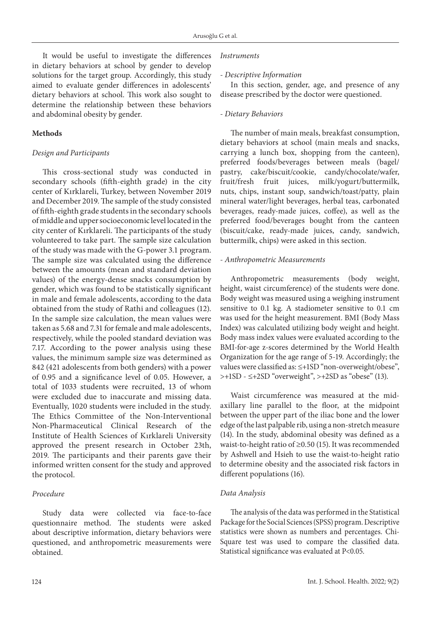It would be useful to investigate the differences in dietary behaviors at school by gender to develop solutions for the target group. Accordingly, this study aimed to evaluate gender differences in adolescents' dietary behaviors at school. This work also sought to determine the relationship between these behaviors and abdominal obesity by gender.

# **Methods**

## *Design and Participants*

This cross-sectional study was conducted in secondary schools (fifth-eighth grade) in the city center of Kırklareli, Turkey, between November 2019 and December 2019. The sample of the study consisted of fifth-eighth grade students in the secondary schools of middle and upper socioeconomic level located in the city center of Kırklareli. The participants of the study volunteered to take part. The sample size calculation of the study was made with the G-power 3.1 program. The sample size was calculated using the difference between the amounts (mean and standard deviation values) of the energy-dense snacks consumption by gender, which was found to be statistically significant in male and female adolescents, according to the data obtained from the study of Rathi and colleagues (12). In the sample size calculation, the mean values were taken as 5.68 and 7.31 for female and male adolescents, respectively, while the pooled standard deviation was 7.17. According to the power analysis using these values, the minimum sample size was determined as 842 (421 adolescents from both genders) with a power of 0.95 and a significance level of 0.05. However, a total of 1033 students were recruited, 13 of whom were excluded due to inaccurate and missing data. Eventually, 1020 students were included in the study. The Ethics Committee of the Non-Interventional Non-Pharmaceutical Clinical Research of the Institute of Health Sciences of Kırklareli University approved the present research in October 23th, 2019. The participants and their parents gave their informed written consent for the study and approved the protocol.

#### *Procedure*

Study data were collected via face-to-face questionnaire method. The students were asked about descriptive information, dietary behaviors were questioned, and anthropometric measurements were obtained.

#### *Instruments*

#### *- Descriptive Information*

In this section, gender, age, and presence of any disease prescribed by the doctor were questioned.

### *- Dietary Behaviors*

The number of main meals, breakfast consumption, dietary behaviors at school (main meals and snacks, carrying a lunch box, shopping from the canteen), preferred foods/beverages between meals (bagel/ pastry, cake/biscuit/cookie, candy/chocolate/wafer, fruit/fresh fruit juices, milk/yogurt/buttermilk, nuts, chips, instant soup, sandwich/toast/patty, plain mineral water/light beverages, herbal teas, carbonated beverages, ready-made juices, coffee), as well as the preferred food/beverages bought from the canteen (biscuit/cake, ready-made juices, candy, sandwich, buttermilk, chips) were asked in this section.

#### *- Anthropometric Measurements*

Anthropometric measurements (body weight, height, waist circumference) of the students were done. Body weight was measured using a weighing instrument sensitive to 0.1 kg. A stadiometer sensitive to 0.1 cm was used for the height measurement. BMI (Body Mass Index) was calculated utilizing body weight and height. Body mass index values were evaluated according to the BMI-for-age z-scores determined by the World Health Organization for the age range of 5-19. Accordingly; the values were classified as: ≤+1SD "non-overweight/obese",  $\rightarrow$ +1SD -  $\leq$ +2SD "overweight",  $\rightarrow$ +2SD as "obese" (13).

Waist circumference was measured at the midaxillary line parallel to the floor, at the midpoint between the upper part of the iliac bone and the lower edge of the last palpable rib, using a non-stretch measure (14). In the study, abdominal obesity was defined as a waist-to-height ratio of ≥0.50 (15). It was recommended by Ashwell and Hsieh to use the waist-to-height ratio to determine obesity and the associated risk factors in different populations (16).

## *Data Analysis*

The analysis of the data was performed in the Statistical Package for the Social Sciences (SPSS) program. Descriptive statistics were shown as numbers and percentages. Chi-Square test was used to compare the classified data. Statistical significance was evaluated at P<0.05.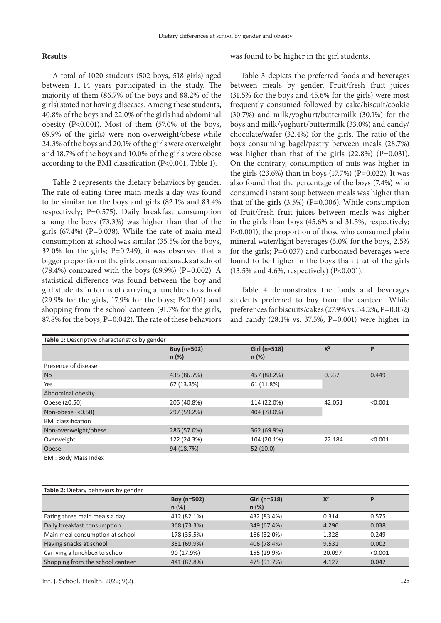## **Results**

A total of 1020 students (502 boys, 518 girls) aged between 11-14 years participated in the study. The majority of them (86.7% of the boys and 88.2% of the girls) stated not having diseases. Among these students, 40.8% of the boys and 22.0% of the girls had abdominal obesity (P<0.001). Most of them (57.0% of the boys, 69.9% of the girls) were non-overweight/obese while 24.3% of the boys and 20.1% of the girls were overweight and 18.7% of the boys and 10.0% of the girls were obese according to the BMI classification (P<0.001; Table 1).

Table 2 represents the dietary behaviors by gender. The rate of eating three main meals a day was found to be similar for the boys and girls (82.1% and 83.4% respectively; P=0.575). Daily breakfast consumption among the boys (73.3%) was higher than that of the girls  $(67.4\%)$  (P=0.038). While the rate of main meal consumption at school was similar (35.5% for the boys, 32.0% for the girls; P=0.249), it was observed that a bigger proportion of the girls consumed snacks at school (78.4%) compared with the boys (69.9%) (P=0.002). A statistical difference was found between the boy and girl students in terms of carrying a lunchbox to school (29.9% for the girls, 17.9% for the boys; P<0.001) and shopping from the school canteen (91.7% for the girls, 87.8% for the boys; P=0.042). The rate of these behaviors was found to be higher in the girl students.

Table 3 depicts the preferred foods and beverages between meals by gender. Fruit/fresh fruit juices (31.5% for the boys and 45.6% for the girls) were most frequently consumed followed by cake/biscuit/cookie (30.7%) and milk/yoghurt/buttermilk (30.1%) for the boys and milk/yoghurt/buttermilk (33.0%) and candy/ chocolate/wafer (32.4%) for the girls. The ratio of the boys consuming bagel/pastry between meals (28.7%) was higher than that of the girls (22.8%) (P=0.031). On the contrary, consumption of nuts was higher in the girls (23.6%) than in boys (17.7%) (P=0.022). It was also found that the percentage of the boys (7.4%) who consumed instant soup between meals was higher than that of the girls  $(3.5%)$  (P=0.006). While consumption of fruit/fresh fruit juices between meals was higher in the girls than boys (45.6% and 31.5%, respectively; P<0.001), the proportion of those who consumed plain mineral water/light beverages (5.0% for the boys, 2.5% for the girls; P=0.037) and carbonated beverages were found to be higher in the boys than that of the girls (13.5% and 4.6%, respectively) (P<0.001).

Table 4 demonstrates the foods and beverages students preferred to buy from the canteen. While preferences for biscuits/cakes (27.9% vs. 34.2%; P=0.032) and candy (28.1% vs. 37.5%; P=0.001) were higher in

| Table 1: Descriptive characteristics by gender |                         |                          |        |         |  |  |
|------------------------------------------------|-------------------------|--------------------------|--------|---------|--|--|
|                                                | Boy (n=502)<br>$n (\%)$ | Girl (n=518)<br>$n (\%)$ | $X^2$  | P       |  |  |
| Presence of disease                            |                         |                          |        |         |  |  |
| <b>No</b>                                      | 435 (86.7%)             | 457 (88.2%)              | 0.537  | 0.449   |  |  |
| Yes                                            | 67 (13.3%)              | 61 (11.8%)               |        |         |  |  |
| Abdominal obesity                              |                         |                          |        |         |  |  |
| Obese $(20.50)$                                | 205 (40.8%)             | 114 (22.0%)              | 42.051 | < 0.001 |  |  |
| Non-obese $(0.50)$                             | 297 (59.2%)             | 404 (78.0%)              |        |         |  |  |
| <b>BMI</b> classification                      |                         |                          |        |         |  |  |
| Non-overweight/obese                           | 286 (57.0%)             | 362 (69.9%)              |        |         |  |  |
| Overweight                                     | 122 (24.3%)             | 104 (20.1%)              | 22.184 | < 0.001 |  |  |
| Obese                                          | 94 (18.7%)              | 52(10.0)                 |        |         |  |  |
| <b>DAMI: D. J.: Ad. 1.</b>                     |                         |                          |        |         |  |  |

BMI: Body Mass Index

| Table 2: Dietary behaviors by gender |                         |                              |        |         |  |  |
|--------------------------------------|-------------------------|------------------------------|--------|---------|--|--|
|                                      | Boy (n=502)<br>$n (\%)$ | Girl ( $n=518$ )<br>$n (\%)$ | $X^2$  | D       |  |  |
| Eating three main meals a day        | 412 (82.1%)             | 432 (83.4%)                  | 0.314  | 0.575   |  |  |
| Daily breakfast consumption          | 368 (73.3%)             | 349 (67.4%)                  | 4.296  | 0.038   |  |  |
| Main meal consumption at school      | 178 (35.5%)             | 166 (32.0%)                  | 1.328  | 0.249   |  |  |
| Having snacks at school              | 351 (69.9%)             | 406 (78.4%)                  | 9.531  | 0.002   |  |  |
| Carrying a lunchbox to school        | 90 (17.9%)              | 155 (29.9%)                  | 20.097 | < 0.001 |  |  |
| Shopping from the school canteen     | 441 (87.8%)             | 475 (91.7%)                  | 4.127  | 0.042   |  |  |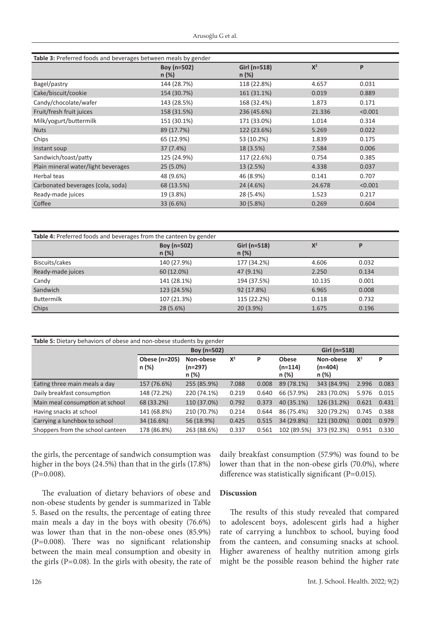| Table 3: Preferred foods and beverages between meals by gender |                         |                                   |        |         |  |  |
|----------------------------------------------------------------|-------------------------|-----------------------------------|--------|---------|--|--|
|                                                                | Boy (n=502)<br>$n (\%)$ | $X^2$<br>Girl (n=518)<br>$n (\%)$ |        | P       |  |  |
| Bagel/pastry                                                   | 144 (28.7%)             | 118 (22.8%)                       | 4.657  | 0.031   |  |  |
| Cake/biscuit/cookie                                            | 154 (30.7%)             | 161 (31.1%)<br>0.019              |        | 0.889   |  |  |
| Candy/chocolate/wafer                                          | 143 (28.5%)             | 168 (32.4%)<br>1.873              |        | 0.171   |  |  |
| Fruit/fresh fruit juices                                       | 158 (31.5%)             | 236 (45.6%)<br>21.336             |        | < 0.001 |  |  |
| Milk/yogurt/buttermilk                                         | 151 (30.1%)             | 171 (33.0%)<br>1.014              |        | 0.314   |  |  |
| <b>Nuts</b>                                                    | 89 (17.7%)              | 122 (23.6%)                       | 5.269  | 0.022   |  |  |
| Chips                                                          | 65 (12.9%)              | 53 (10.2%)                        | 1.839  | 0.175   |  |  |
| Instant soup                                                   | 37 (7.4%)               | 18 (3.5%)                         | 7.584  | 0.006   |  |  |
| Sandwich/toast/patty                                           | 125 (24.9%)             | 117 (22.6%)                       | 0.754  | 0.385   |  |  |
| Plain mineral water/light beverages                            | $25(5.0\%)$             | 13 (2.5%)                         | 4.338  | 0.037   |  |  |
| Herbal teas                                                    | 48 (9.6%)               | 46 (8.9%)                         | 0.141  | 0.707   |  |  |
| Carbonated beverages (cola, soda)                              | 68 (13.5%)              | 24 (4.6%)                         | 24.678 | < 0.001 |  |  |
| Ready-made juices                                              | 19 (3.8%)               | 28 (5.4%)                         | 1.523  | 0.217   |  |  |
| Coffee                                                         | 33 (6.6%)               | 30 (5.8%)                         | 0.269  | 0.604   |  |  |

| Table 4: Preferred foods and beverages from the canteen by gender |                         |                       |        |       |  |  |
|-------------------------------------------------------------------|-------------------------|-----------------------|--------|-------|--|--|
|                                                                   | Boy (n=502)<br>$n (\%)$ | Girl (n=518)<br>n (%) | $X^2$  | P     |  |  |
| Biscuits/cakes                                                    | 140 (27.9%)             | 177 (34.2%)           | 4.606  | 0.032 |  |  |
| Ready-made juices                                                 | 60 (12.0%)              | 47 (9.1%)             | 2.250  | 0.134 |  |  |
| Candy                                                             | 141 (28.1%)             | 194 (37.5%)           | 10.135 | 0.001 |  |  |
| Sandwich                                                          | 123 (24.5%)             | 92 (17.8%)            | 6.965  | 0.008 |  |  |
| <b>Buttermilk</b>                                                 | 107 (21.3%)             | 115 (22.2%)           | 0.118  | 0.732 |  |  |
| Chips                                                             | 28 (5.6%)               | 20 (3.9%)             | 1.675  | 0.196 |  |  |

| Table 5: Dietary behaviors of obese and non-obese students by gender |                        |                                 |       |       |                                    |                                 |       |       |
|----------------------------------------------------------------------|------------------------|---------------------------------|-------|-------|------------------------------------|---------------------------------|-------|-------|
|                                                                      | Boy (n=502)            |                                 |       |       | Girl (n=518)                       |                                 |       |       |
|                                                                      | Obese (n=205)<br>n (%) | Non-obese<br>$(n=297)$<br>n (%) | $X^2$ | P     | <b>Obese</b><br>$(n=114)$<br>n (%) | Non-obese<br>$(n=404)$<br>n (%) | $X^2$ | P     |
| Eating three main meals a day                                        | 157 (76.6%)            | 255 (85.9%)                     | 7.088 | 0.008 | 89 (78.1%)                         | 343 (84.9%)                     | 2.996 | 0.083 |
| Daily breakfast consumption                                          | 148 (72.2%)            | 220 (74.1%)                     | 0.219 | 0.640 | 66 (57.9%)                         | 283 (70.0%)                     | 5.976 | 0.015 |
| Main meal consumption at school                                      | 68 (33.2%)             | 110 (37.0%)                     | 0.792 | 0.373 | 40 (35.1%)                         | 126 (31.2%)                     | 0.621 | 0.431 |
| Having snacks at school                                              | 141 (68.8%)            | 210 (70.7%)                     | 0.214 | 0.644 | 86 (75.4%)                         | 320 (79.2%)                     | 0.745 | 0.388 |
| Carrying a lunchbox to school                                        | 34 (16.6%)             | 56 (18.9%)                      | 0.425 | 0.515 | 34 (29.8%)                         | 121 (30.0%)                     | 0.001 | 0.979 |
| Shoppers from the school canteen                                     | 178 (86.8%)            | 263 (88.6%)                     | 0.337 | 0.561 | 102 (89.5%)                        | 373 (92.3%)                     | 0.951 | 0.330 |

the girls, the percentage of sandwich consumption was higher in the boys (24.5%) than that in the girls (17.8%)  $(P=0.008)$ .

daily breakfast consumption (57.9%) was found to be lower than that in the non-obese girls (70.0%), where difference was statistically significant (P=0.015).

The evaluation of dietary behaviors of obese and non-obese students by gender is summarized in Table 5. Based on the results, the percentage of eating three main meals a day in the boys with obesity (76.6%) was lower than that in the non-obese ones (85.9%) (P=0.008). There was no significant relationship between the main meal consumption and obesity in the girls ( $P=0.08$ ). In the girls with obesity, the rate of

# **Discussion**

The results of this study revealed that compared to adolescent boys, adolescent girls had a higher rate of carrying a lunchbox to school, buying food from the canteen, and consuming snacks at school. Higher awareness of healthy nutrition among girls might be the possible reason behind the higher rate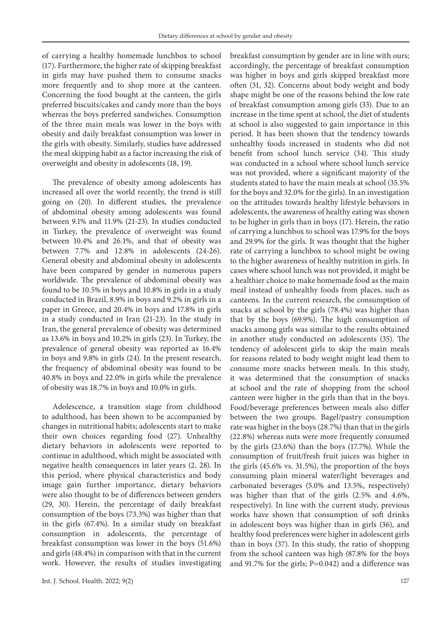of carrying a healthy homemade lunchbox to school (17). Furthermore, the higher rate of skipping breakfast in girls may have pushed them to consume snacks more frequently and to shop more at the canteen. Concerning the food bought at the canteen, the girls preferred biscuits/cakes and candy more than the boys whereas the boys preferred sandwiches. Consumption of the three main meals was lower in the boys with obesity and daily breakfast consumption was lower in the girls with obesity. Similarly, studies have addressed the meal skipping habit as a factor increasing the risk of overweight and obesity in adolescents (18, 19).

The prevalence of obesity among adolescents has increased all over the world recently, the trend is still going on (20). In different studies, the prevalence of abdominal obesity among adolescents was found between 9.1% and 11.9% (21-23). In studies conducted in Turkey, the prevalence of overweight was found between 10.4% and 26.1%, and that of obesity was between 7.7% and 12.8% in adolescents (24-26). General obesity and abdominal obesity in adolescents have been compared by gender in numerous papers worldwide. The prevalence of abdominal obesity was found to be 10.5% in boys and 10.8% in girls in a study conducted in Brazil, 8.9% in boys and 9.2% in girls in a paper in Greece, and 20.4% in boys and 17.8% in girls in a study conducted in Iran (21-23). In the study in Iran, the general prevalence of obesity was determined as 13.6% in boys and 10.2% in girls (23). In Turkey, the prevalence of general obesity was reported as 16.4% in boys and 9.8% in girls (24). In the present research, the frequency of abdominal obesity was found to be 40.8% in boys and 22.0% in girls while the prevalence of obesity was 18.7% in boys and 10.0% in girls.

Adolescence, a transition stage from childhood to adulthood, has been shown to be accompanied by changes in nutritional habits; adolescents start to make their own choices regarding food (27). Unhealthy dietary behaviors in adolescents were reported to continue in adulthood, which might be associated with negative health consequences in later years (2, 28). In this period, where physical characteristics and body image gain further importance, dietary behaviors were also thought to be of differences between genders (29, 30). Herein, the percentage of daily breakfast consumption of the boys (73.3%) was higher than that in the girls (67.4%). In a similar study on breakfast consumption in adolescents, the percentage of breakfast consumption was lower in the boys (51.6%) and girls (48.4%) in comparison with that in the current work. However, the results of studies investigating

breakfast consumption by gender are in line with ours; accordingly, the percentage of breakfast consumption was higher in boys and girls skipped breakfast more often (31, 32). Concerns about body weight and body shape might be one of the reasons behind the low rate of breakfast consumption among girls (33). Due to an increase in the time spent at school, the diet of students at school is also suggested to gain importance in this period. It has been shown that the tendency towards unhealthy foods increased in students who did not benefit from school lunch service (34). This study was conducted in a school where school lunch service was not provided, where a significant majority of the students stated to have the main meals at school (35.5% for the boys and 32.0% for the girls). In an investigation on the attitudes towards healthy lifestyle behaviors in adolescents, the awareness of healthy eating was shown to be higher in girls than in boys (17). Herein, the ratio of carrying a lunchbox to school was 17.9% for the boys and 29.9% for the girls. It was thought that the higher rate of carrying a lunchbox to school might be owing to the higher awareness of healthy nutrition in girls. In cases where school lunch was not provided, it might be a healthier choice to make homemade food as the main meal instead of unhealthy foods from places, such as canteens. In the current research, the consumption of snacks at school by the girls (78.4%) was higher than that by the boys (69.9%). The high consumption of snacks among girls was similar to the results obtained in another study conducted on adolescents (35). The tendency of adolescent girls to skip the main meals for reasons related to body weight might lead them to consume more snacks between meals. In this study, it was determined that the consumption of snacks at school and the rate of shopping from the school canteen were higher in the girls than that in the boys. Food/beverage preferences between meals also differ between the two groups. Bagel/pastry consumption rate was higher in the boys (28.7%) than that in the girls (22.8%) whereas nuts were more frequently consumed by the girls (23.6%) than the boys (17.7%). While the consumption of fruit/fresh fruit juices was higher in the girls (45.6% vs. 31.5%), the proportion of the boys consuming plain mineral water/light beverages and carbonated beverages (5.0% and 13.5%, respectively) was higher than that of the girls (2.5% and 4.6%, respectively). In line with the current study, previous works have shown that consumption of soft drinks in adolescent boys was higher than in girls (36), and healthy food preferences were higher in adolescent girls than in boys (37). In this study, the ratio of shopping from the school canteen was high (87.8% for the boys and 91.7% for the girls; P=0.042) and a difference was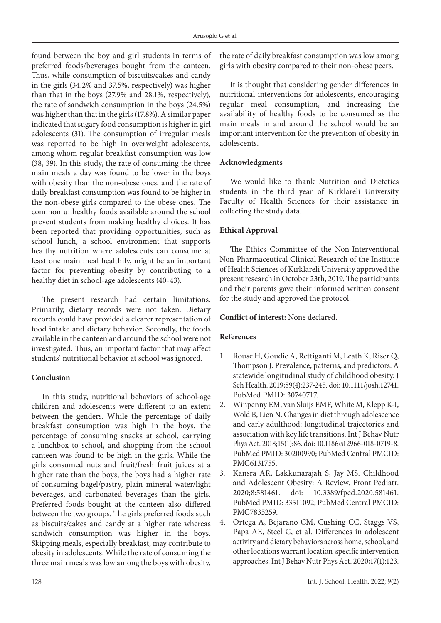found between the boy and girl students in terms of preferred foods/beverages bought from the canteen. Thus, while consumption of biscuits/cakes and candy in the girls (34.2% and 37.5%, respectively) was higher than that in the boys (27.9% and 28.1%, respectively), the rate of sandwich consumption in the boys (24.5%) was higher than that in the girls (17.8%). A similar paper indicated that sugary food consumption is higher in girl adolescents (31). The consumption of irregular meals was reported to be high in overweight adolescents, among whom regular breakfast consumption was low (38, 39). In this study, the rate of consuming the three main meals a day was found to be lower in the boys with obesity than the non-obese ones, and the rate of daily breakfast consumption was found to be higher in the non-obese girls compared to the obese ones. The common unhealthy foods available around the school prevent students from making healthy choices. It has been reported that providing opportunities, such as school lunch, a school environment that supports healthy nutrition where adolescents can consume at least one main meal healthily, might be an important factor for preventing obesity by contributing to a healthy diet in school-age adolescents (40-43).

The present research had certain limitations. Primarily, dietary records were not taken. Dietary records could have provided a clearer representation of food intake and dietary behavior. Secondly, the foods available in the canteen and around the school were not investigated. Thus, an important factor that may affect students' nutritional behavior at school was ignored.

# **Conclusion**

In this study, nutritional behaviors of school-age children and adolescents were different to an extent between the genders. While the percentage of daily breakfast consumption was high in the boys, the percentage of consuming snacks at school, carrying a lunchbox to school, and shopping from the school canteen was found to be high in the girls. While the girls consumed nuts and fruit/fresh fruit juices at a higher rate than the boys, the boys had a higher rate of consuming bagel/pastry, plain mineral water/light beverages, and carbonated beverages than the girls. Preferred foods bought at the canteen also differed between the two groups. The girls preferred foods such as biscuits/cakes and candy at a higher rate whereas sandwich consumption was higher in the boys. Skipping meals, especially breakfast, may contribute to obesity in adolescents. While the rate of consuming the three main meals was low among the boys with obesity,

the rate of daily breakfast consumption was low among girls with obesity compared to their non-obese peers.

It is thought that considering gender differences in nutritional interventions for adolescents, encouraging regular meal consumption, and increasing the availability of healthy foods to be consumed as the main meals in and around the school would be an important intervention for the prevention of obesity in adolescents.

## **Acknowledgments**

We would like to thank Nutrition and Dietetics students in the third year of Kırklareli University Faculty of Health Sciences for their assistance in collecting the study data.

# **Ethical Approval**

The Ethics Committee of the Non-Interventional Non-Pharmaceutical Clinical Research of the Institute of Health Sciences of Kırklareli University approved the present research in October 23th, 2019. The participants and their parents gave their informed written consent for the study and approved the protocol.

# **Conflict of interest:** None declared.

## **References**

- 1. Rouse H, Goudie A, Rettiganti M, Leath K, Riser Q, Thompson J. Prevalence, patterns, and predictors: A statewide longitudinal study of childhood obesity. J Sch Health. 2019;89(4):237-245. doi: 10.1111/josh.12741. PubMed PMID: 30740717.
- 2. Winpenny EM, van Sluijs EMF, White M, Klepp K-I, Wold B, Lien N. Changes in diet through adolescence and early adulthood: longitudinal trajectories and association with key life transitions. Int J Behav Nutr Phys Act. 2018;15(1):86. doi: 10.1186/s12966-018-0719-8. PubMed PMID: 30200990; PubMed Central PMCID: PMC6131755.
- 3. Kansra AR, Lakkunarajah S, Jay MS. Childhood and Adolescent Obesity: A Review. Front Pediatr. 2020;8:581461. doi: 10.3389/fped.2020.581461. PubMed PMID: 33511092; PubMed Central PMCID: PMC7835259.
- 4. Ortega A, Bejarano CM, Cushing CC, Staggs VS, Papa AE, Steel C, et al. Differences in adolescent activity and dietary behaviors across home, school, and other locations warrant location-specific intervention approaches. Int J Behav Nutr Phys Act. 2020;17(1):123.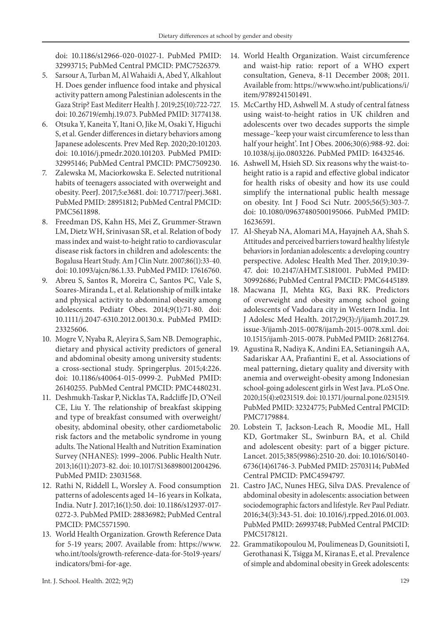doi: 10.1186/s12966-020-01027-1. PubMed PMID: 32993715; PubMed Central PMCID: PMC7526379.

- 5. Sarsour A, Turban M, Al Wahaidi A, Abed Y, Alkahlout H. Does gender influence food intake and physical activity pattern among Palestinian adolescents in the Gaza Strip? East Mediterr Health J. 2019;25(10):722-727. doi: 10.26719/emhj.19.073. PubMed PMID: 31774138.
- 6. Otsuka Y, Kaneita Y, Itani O, Jike M, Osaki Y, Higuchi S, et al. Gender differences in dietary behaviors among Japanese adolescents. Prev Med Rep. 2020;20:101203. doi: 10.1016/j.pmedr.2020.101203. PubMed PMID: 32995146; PubMed Central PMCID: PMC7509230.
- 7. Zalewska M, Maciorkowska E. Selected nutritional habits of teenagers associated with overweight and obesity. PeerJ. 2017;5:e3681. doi: 10.7717/peerj.3681. PubMed PMID: 28951812; PubMed Central PMCID: PMC5611898.
- 8. Freedman DS, Kahn HS, Mei Z, Grummer-Strawn LM, Dietz WH, Srinivasan SR, et al. Relation of body mass index and waist-to-height ratio to cardiovascular disease risk factors in children and adolescents: the Bogalusa Heart Study. Am J Clin Nutr. 2007;86(1):33-40. doi: 10.1093/ajcn/86.1.33. PubMed PMID: 17616760.
- 9. Abreu S, Santos R, Moreira C, Santos PC, Vale S, Soares‐Miranda L, et al. Relationship of milk intake and physical activity to abdominal obesity among adolescents. Pediatr Obes. 2014;9(1):71-80. doi: 10.1111/j.2047-6310.2012.00130.x. PubMed PMID: 23325606.
- 10. Mogre V, Nyaba R, Aleyira S, Sam NB. Demographic, dietary and physical activity predictors of general and abdominal obesity among university students: a cross-sectional study. Springerplus. 2015;4:226. doi: 10.1186/s40064-015-0999-2. PubMed PMID: 26140255. PubMed Central PMCID: PMC4480231.
- 11. Deshmukh-Taskar P, Nicklas TA, Radcliffe JD, O'Neil CE, Liu Y. The relationship of breakfast skipping and type of breakfast consumed with overweight/ obesity, abdominal obesity, other cardiometabolic risk factors and the metabolic syndrome in young adults. The National Health and Nutrition Examination Survey (NHANES): 1999–2006. Public Health Nutr. 2013;16(11):2073-82. doi: 10.1017/S1368980012004296. PubMed PMID: 23031568.
- 12. Rathi N, Riddell L, Worsley A. Food consumption patterns of adolescents aged 14–16 years in Kolkata, India. Nutr J. 2017;16(1):50. doi: 10.1186/s12937-017- 0272-3. PubMed PMID: 28836982; PubMed Central PMCID: PMC5571590.
- 13. World Health Organization. Growth Reference Data for 5-19 years; 2007. Available from: https://www. who.int/tools/growth-reference-data-for-5to19-years/ indicators/bmi-for-age.
- 14. World Health Organization. Waist circumference and waist-hip ratio: report of a WHO expert consultation, Geneva, 8-11 December 2008; 2011. Available from: https://www.who.int/publications/i/ item/9789241501491.
- 15. McCarthy HD, Ashwell M. A study of central fatness using waist-to-height ratios in UK children and adolescents over two decades supports the simple message–'keep your waist circumference to less than half your height'. Int J Obes. 2006;30(6):988-92. doi: 10.1038/sj.ijo.0803226. PubMed PMID: 16432546.
- 16. Ashwell M, Hsieh SD. Six reasons why the waist-toheight ratio is a rapid and effective global indicator for health risks of obesity and how its use could simplify the international public health message on obesity. Int J Food Sci Nutr. 2005;56(5):303-7. doi: 10.1080/09637480500195066. PubMed PMID: 16236591.
- 17. Al-Sheyab NA, Alomari MA, Hayajneh AA, Shah S. Attitudes and perceived barriers toward healthy lifestyle behaviors in Jordanian adolescents: a developing country perspective. Adolesc Health Med Ther. 2019;10:39- 47. doi: 10.2147/AHMT.S181001. PubMed PMID: 30992686; PubMed Central PMCID: PMC6445189.
- 18. Macwana JI, Mehta KG, Baxi RK. Predictors of overweight and obesity among school going adolescents of Vadodara city in Western India. Int J Adolesc Med Health. 2017;29(3):/j/ijamh.2017.29. issue-3/ijamh-2015-0078/ijamh-2015-0078.xml. doi: 10.1515/ijamh-2015-0078. PubMed PMID: 26812764.
- 19. Agustina R, Nadiya K, Andini EA, Setianingsih AA, Sadariskar AA, Prafiantini E, et al. Associations of meal patterning, dietary quality and diversity with anemia and overweight-obesity among Indonesian school-going adolescent girls in West Java. PLoS One. 2020;15(4):e0231519. doi: 10.1371/journal.pone.0231519. PubMed PMID: 32324775; PubMed Central PMCID: PMC7179884.
- 20. Lobstein T, Jackson-Leach R, Moodie ML, Hall KD, Gortmaker SL, Swinburn BA, et al. Child and adolescent obesity: part of a bigger picture. Lancet. 2015;385(9986):2510-20. doi: 10.1016/S0140- 6736(14)61746-3. PubMed PMID: 25703114; PubMed Central PMCID: PMC4594797.
- 21. Castro JAC, Nunes HEG, Silva DAS. Prevalence of abdominal obesity in adolescents: association between sociodemographic factors and lifestyle. Rev Paul Pediatr. 2016;34(3):343-51. doi: 10.1016/j.rpped.2016.01.003. PubMed PMID: 26993748; PubMed Central PMCID: PMC5178121.
- 22. Grammatikopoulou M, Poulimeneas D, Gounitsioti I, Gerothanasi K, Tsigga M, Kiranas E, et al. Prevalence of simple and abdominal obesity in Greek adolescents: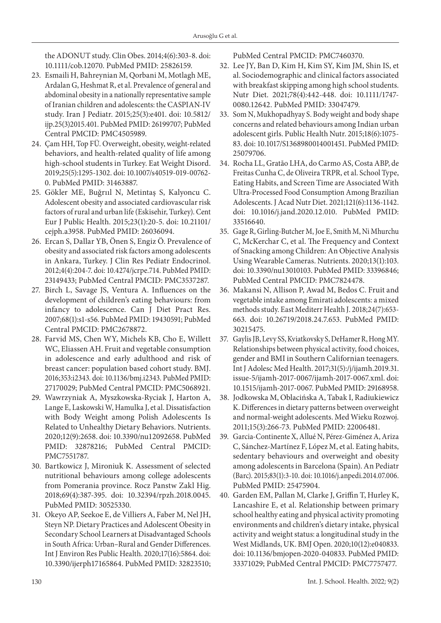the ADONUT study. Clin Obes. 2014;4(6):303-8. doi: 10.1111/cob.12070. PubMed PMID: 25826159.

- 23. Esmaili H, Bahreynian M, Qorbani M, Motlagh ME, Ardalan G, Heshmat R, et al. Prevalence of general and abdominal obesity in a nationally representative sample of Iranian children and adolescents: the CASPIAN-IV study. Iran J Pediatr. 2015;25(3):e401. doi: 10.5812/ ijp.25(3)2015.401. PubMed PMID: 26199707; PubMed Central PMCID: PMC4505989.
- 24. Çam HH, Top FÜ. Overweight, obesity, weight-related behaviors, and health-related quality of life among high-school students in Turkey. Eat Weight Disord. 2019;25(5):1295-1302. doi: 10.1007/s40519-019-00762- 0. PubMed PMID: 31463887.
- 25. Gökler ME, Buğrııl N, Metintaş S, Kalyoncu C. Adolescent obesity and associated cardiovascular risk factors of rural and urban life (Eskisehir, Turkey). Cent Eur J Public Health. 2015;23(1):20-5. doi: 10.21101/ cejph.a3958. PubMed PMID: 26036094.
- 26. Ercan S, Dallar YB, Önen S, Engiz Ö. Prevalence of obesity and associated risk factors among adolescents in Ankara, Turkey. J Clin Res Pediatr Endocrinol. 2012;4(4):204-7. doi: 10.4274/jcrpe.714. PubMed PMID: 23149433; PubMed Central PMCID: PMC3537287.
- 27. Birch L, Savage JS, Ventura A. Influences on the development of children's eating behaviours: from infancy to adolescence. Can J Diet Pract Res. 2007;68(1):s1-s56. PubMed PMID: 19430591; PubMed Central PMCID: PMC2678872.
- 28. Farvid MS, Chen WY, Michels KB, Cho E, Willett WC, Eliassen AH. Fruit and vegetable consumption in adolescence and early adulthood and risk of breast cancer: population based cohort study. BMJ. 2016;353:i2343. doi: 10.1136/bmj.i2343. PubMed PMID: 27170029; PubMed Central PMCID: PMC5068921.
- 29. Wawrzyniak A, Myszkowska-Ryciak J, Harton A, Lange E, Laskowski W, Hamulka J, et al. Dissatisfaction with Body Weight among Polish Adolescents Is Related to Unhealthy Dietary Behaviors. Nutrients. 2020;12(9):2658. doi: 10.3390/nu12092658. PubMed PMID: 32878216; PubMed Central PMCID: PMC7551787.
- 30. Bartkowicz J, Mironiuk K. Assessment of selected nutritional behaviours among college adolescents from Pomerania province. Rocz Panstw Zakl Hig. 2018;69(4):387-395. doi: 10.32394/rpzh.2018.0045. PubMed PMID: 30525330.
- 31. Okeyo AP, Seekoe E, de Villiers A, Faber M, Nel JH, Steyn NP. Dietary Practices and Adolescent Obesity in Secondary School Learners at Disadvantaged Schools in South Africa: Urban–Rural and Gender Differences. Int J Environ Res Public Health. 2020;17(16):5864. doi: 10.3390/ijerph17165864. PubMed PMID: 32823510;

PubMed Central PMCID: PMC7460370.

- 32. Lee JY, Ban D, Kim H, Kim SY, Kim JM, Shin IS, et al. Sociodemographic and clinical factors associated with breakfast skipping among high school students. Nutr Diet. 2021;78(4):442-448. doi: 10.1111/1747- 0080.12642. PubMed PMID: 33047479.
- 33. Som N, Mukhopadhyay S. Body weight and body shape concerns and related behaviours among Indian urban adolescent girls. Public Health Nutr. 2015;18(6):1075- 83. doi: 10.1017/S1368980014001451. PubMed PMID: 25079706.
- 34. Rocha LL, Gratão LHA, do Carmo AS, Costa ABP, de Freitas Cunha C, de Oliveira TRPR, et al. School Type, Eating Habits, and Screen Time are Associated With Ultra-Processed Food Consumption Among Brazilian Adolescents. J Acad Nutr Diet. 2021;121(6):1136-1142. doi: 10.1016/j.jand.2020.12.010. PubMed PMID: 33516640.
- 35. Gage R, Girling-Butcher M, Joe E, Smith M, Ni Mhurchu C, McKerchar C, et al. The Frequency and Context of Snacking among Children: An Objective Analysis Using Wearable Cameras. Nutrients. 2020;13(1):103. doi: 10.3390/nu13010103. PubMed PMID: 33396846; PubMed Central PMCID: PMC7824478.
- 36. Makansi N, Allison P, Awad M, Bedos C. Fruit and vegetable intake among Emirati adolescents: a mixed methods study. East Mediterr Health J. 2018;24(7):653- 663. doi: 10.26719/2018.24.7.653. PubMed PMID: 30215475.
- 37. Gaylis JB, Levy SS, Kviatkovsky S, DeHamer R, Hong MY. Relationships between physical activity, food choices, gender and BMI in Southern Californian teenagers. Int J Adolesc Med Health. 2017;31(5):/j/ijamh.2019.31. issue-5/ijamh-2017-0067/ijamh-2017-0067.xml. doi: 10.1515/ijamh-2017-0067. PubMed PMID: 29168958.
- 38. Jodkowska M, Oblacińska A, Tabak I, Radiukiewicz K. Differences in dietary patterns between overweight and normal-weight adolescents. Med Wieku Rozwoj. 2011;15(3):266-73. PubMed PMID: 22006481.
- 39. Garcia-Continente X, Allué N, Pérez-Giménez A, Ariza C, Sánchez-Martínez F, López M, et al. Eating habits, sedentary behaviours and overweight and obesity among adolescents in Barcelona (Spain). An Pediatr (Barc). 2015;83(1):3-10. doi: 10.1016/j.anpedi.2014.07.006. PubMed PMID: 25475904.
- 40. Garden EM, Pallan M, Clarke J, Griffin T, Hurley K, Lancashire E, et al. Relationship between primary school healthy eating and physical activity promoting environments and children's dietary intake, physical activity and weight status: a longitudinal study in the West Midlands, UK. BMJ Open. 2020;10(12):e040833. doi: 10.1136/bmjopen-2020-040833. PubMed PMID: 33371029; PubMed Central PMCID: PMC7757477.